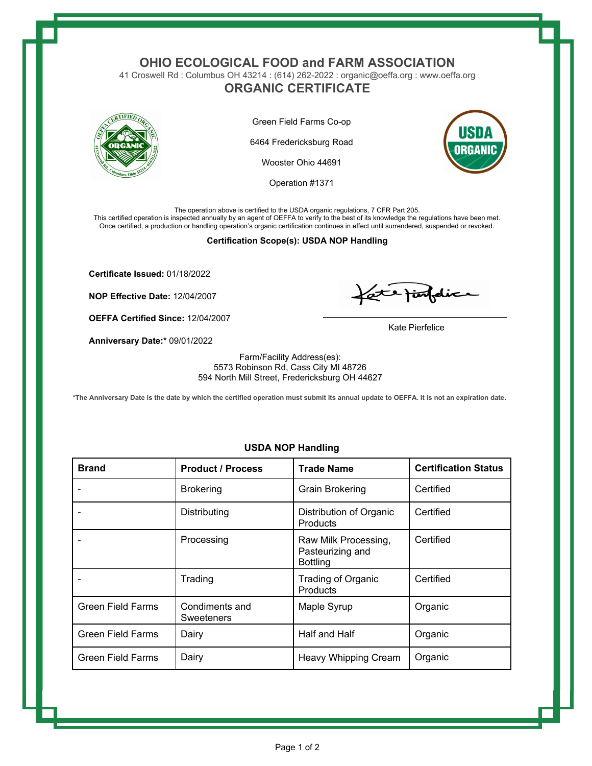### **OHIO ECOLOGICAL FOOD and FARM ASSOCIATION**

41 Croswell Rd : Columbus OH 43214 : (614) 262-2022 : organic@oeffa.org : www.oeffa.org

# **ORGANIC CERTIFICATE**



Green Field Farms Co-op

6464 Fredericksburg Road

Wooster Ohio 44691

Operation #1371



The operation above is certified to the USDA organic regulations, 7 CFR Part 205. This certified operation is inspected annually by an agent of OEFFA to verify to the best of its knowledge the regulations have been met. Once certified, a production or handling operation's organic certification continues in effect until surrendered, suspended or revoked.

#### **Certification Scope(s): USDA NOP Handling**

**Certificate Issued:** 01/18/2022

**NOP Effective Date:** 12/04/2007

**OEFFA Certified Since:** 12/04/2007

**Anniversary Date:\*** 09/01/2022

fate finfelice

Kate Pierfelice

Farm/Facility Address(es): 5573 Robinson Rd, Cass City MI 48726 594 North Mill Street, Fredericksburg OH 44627

**\*The Anniversary Date is the date by which the certified operation must submit its annual update to OEFFA. It is not an expiration date.**

| <b>Brand</b>             | <b>Product / Process</b>     | <b>Trade Name</b>                                           | <b>Certification Status</b> |
|--------------------------|------------------------------|-------------------------------------------------------------|-----------------------------|
|                          | <b>Brokering</b>             | <b>Grain Brokering</b>                                      | Certified                   |
|                          | Distributing                 | Distribution of Organic<br>Products                         | Certified                   |
|                          | Processing                   | Raw Milk Processing,<br>Pasteurizing and<br><b>Bottling</b> | Certified                   |
|                          | Trading                      | <b>Trading of Organic</b><br>Products                       | Certified                   |
| <b>Green Field Farms</b> | Condiments and<br>Sweeteners | Maple Syrup                                                 | Organic                     |
| <b>Green Field Farms</b> | Dairy                        | Half and Half                                               | Organic                     |
| <b>Green Field Farms</b> | Dairy                        | Heavy Whipping Cream                                        | Organic                     |

### **USDA NOP Handling**